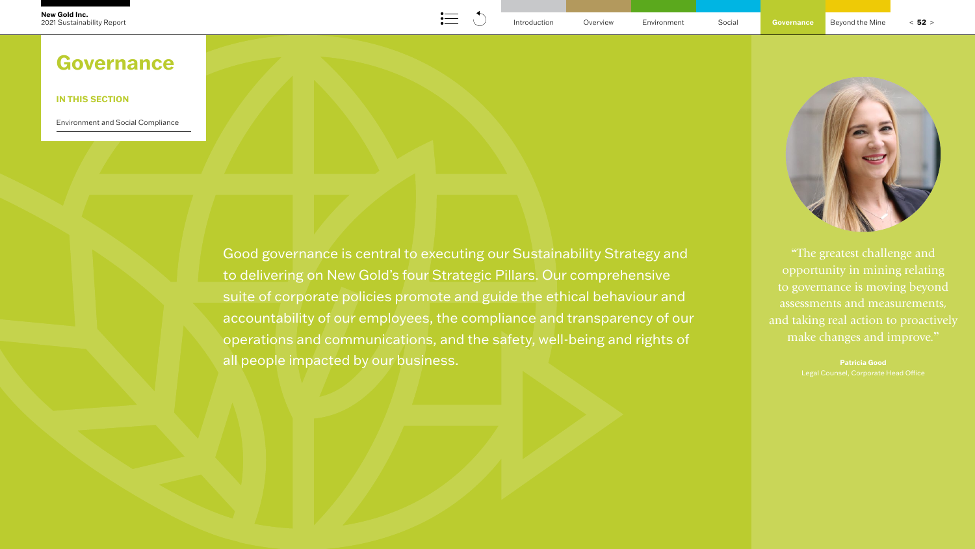Good governance is central to executing our Sustainability Strategy and to delivering on New Gold's four Strategic Pillars. Our comprehensive suite of corporate policies promote and guide the ethical behaviour and accountability of our employees, the compliance and transparency of our operations and communications, and the safety, well-being and rights of all people impacted by our business.

**"**The greatest challenge and opportunity in mining relating to governance is moving beyond assessments and measurements, and taking real action to proactively make changes and improve.**"**

**Patricia Good**



# **IN THIS SECTION**

[Environment and Social Compliance](#page-1-0)

# **Governance**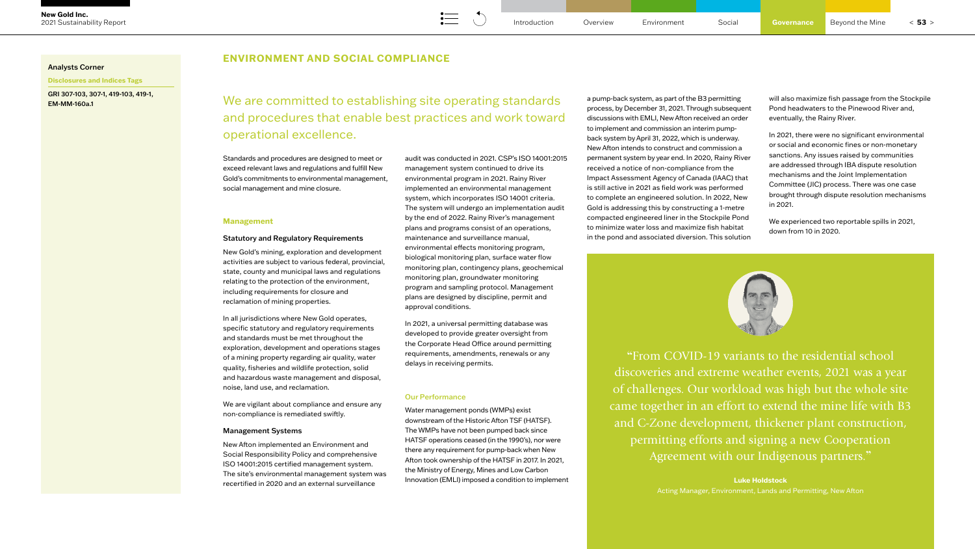## **ENVIRONMENT AND SOCIAL COMPLIANCE**

#### <span id="page-1-0"></span>Analysts Corner

**Disclosures and Indices Tags**

GRI 307-103, 307-1, 419-103, 419-1, EM-MM-160a.1

> Standards and procedures are designed to meet or exceed relevant laws and regulations and fulfill New Gold's commitments to environmental management, social management and mine closure.

#### **Management**

#### Statutory and Regulatory Requirements

New Gold's mining, exploration and development activities are subject to various federal, provincial, state, county and municipal laws and regulations relating to the protection of the environment, including requirements for closure and reclamation of mining properties.

In all jurisdictions where New Gold operates, specific statutory and regulatory requirements and standards must be met throughout the exploration, development and operations stages of a mining property regarding air quality, water quality, fisheries and wildlife protection, solid and hazardous waste management and disposal, noise, land use, and reclamation.

We are vigilant about compliance and ensure any non-compliance is remediated swiftly.

#### Management Systems

New Afton implemented an Environment and Social Responsibility Policy and comprehensive ISO 14001:2015 certified management system. The site's environmental management system was recertified in 2020 and an external surveillance

audit was conducted in 2021. CSP's ISO 14001:2015 management system continued to drive its environmental program in 2021. Rainy River implemented an environmental management system, which incorporates ISO 14001 criteria. The system will undergo an implementation audit by the end of 2022. Rainy River's management plans and programs consist of an operations, maintenance and surveillance manual, environmental effects monitoring program, biological monitoring plan, surface water flow monitoring plan, contingency plans, geochemical monitoring plan, groundwater monitoring program and sampling protocol. Management plans are designed by discipline, permit and approval conditions.

In 2021, a universal permitting database was developed to provide greater oversight from the Corporate Head Office around permitting requirements, amendments, renewals or any delays in receiving permits.

#### Our Performance

Water management ponds (WMPs) exist downstream of the Historic Afton TSF (HATSF). The WMPs have not been pumped back since HATSF operations ceased (in the 1990's), nor were there any requirement for pump-back when New Afton took ownership of the HATSF in 2017. In 2021, the Ministry of Energy, Mines and Low Carbon Innovation (EMLI) imposed a condition to implement a pump-back system, as part of the B3 permitting process, by December 31, 2021. Through subsequent discussions with EMLI, New Afton received an order to implement and commission an interim pumpback system by April 31, 2022, which is underway. New Afton intends to construct and commission a permanent system by year end. In 2020, Rainy River received a notice of non-compliance from the Impact Assessment Agency of Canada (IAAC) that is still active in 2021 as field work was performed to complete an engineered solution. In 2022, New Gold is addressing this by constructing a 1-metre compacted engineered liner in the Stockpile Pond to minimize water loss and maximize fish habitat in the pond and associated diversion. This solution

will also maximize fish passage from the Stockpile Pond headwaters to the Pinewood River and, eventually, the Rainy River.

In 2021, there were no significant environmental or social and economic fines or non-monetary sanctions. Any issues raised by communities are addressed through IBA dispute resolution mechanisms and the Joint Implementation Committee (JIC) process. There was one case brought through dispute resolution mechanisms in 2021.

We experienced two reportable spills in 2021, down from 10 in 2020.



We are committed to establishing site operating standards and procedures that enable best practices and work toward operational excellence.

> **"**From COVID-19 variants to the residential school discoveries and extreme weather events, 2021 was a year of challenges. Our workload was high but the whole site came together in an effort to extend the mine life with B3 and C-Zone development, thickener plant construction, permitting efforts and signing a new Cooperation Agreement with our Indigenous partners.**"**

> > **Luke Holdstock**

Acting Manager, Environment, Lands and Permitting, New Afton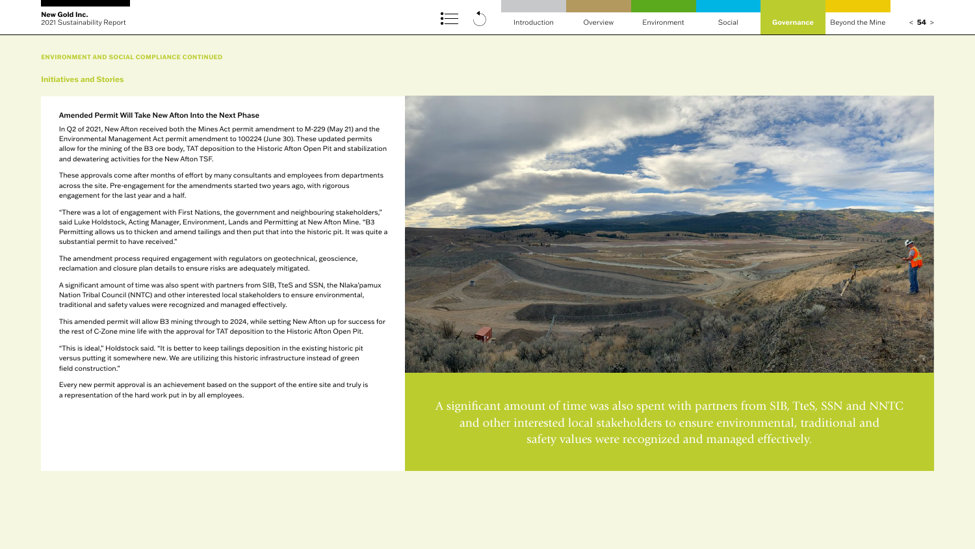#### Amended Permit Will Take New Afton Into the Next Phase

In Q2 of 2021, New Afton received both the Mines Act permit amendment to M-229 (May 21) and the Environmental Management Act permit amendment to 100224 (June 30). These updated permits allow for the mining of the B3 ore body, TAT deposition to the Historic Afton Open Pit and stabilization and dewatering activities for the New Afton TSF.

These approvals come after months of effort by many consultants and employees from departments across the site. Pre-engagement for the amendments started two years ago, with rigorous engagement for the last year and a half.

"There was a lot of engagement with First Nations, the government and neighbouring stakeholders," said Luke Holdstock, Acting Manager, Environment, Lands and Permitting at New Afton Mine. "B3 Permitting allows us to thicken and amend tailings and then put that into the historic pit. It was quite a substantial permit to have received."

The amendment process required engagement with regulators on geotechnical, geoscience, reclamation and closure plan details to ensure risks are adequately mitigated.

A significant amount of time was also spent with partners from SIB, TteS and SSN, the Nlaka'pamux Nation Tribal Council (NNTC) and other interested local stakeholders to ensure environmental, traditional and safety values were recognized and managed effectively.

This amended permit will allow B3 mining through to 2024, while setting New Afton up for success for the rest of C-Zone mine life with the approval for TAT deposition to the Historic Afton Open Pit.

"This is ideal," Holdstock said. "It is better to keep tailings deposition in the existing historic pit versus putting it somewhere new. We are utilizing this historic infrastructure instead of green field construction."

Every new permit approval is an achievement based on the support of the entire site and truly is a representation of the hard work put in by all employees.



A significant amount of time was also spent with partners from SIB, TteS, SSN and NNTC and other interested local stakeholders to ensure environmental, traditional and safety values were recognized and managed effectively.

#### **Initiatives and Stories**

**ENVIRONMENT AND SOCIAL COMPLIANCE CONTINUED**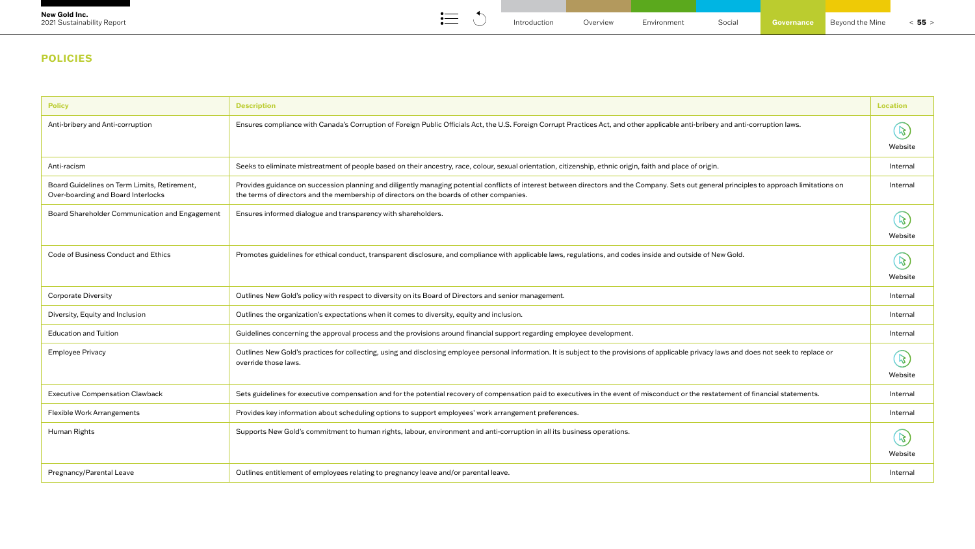# **POLICIES**

| <b>Policy</b>                                                                      | <b>Description</b>                                                                                                                                                                                                                                                                     | <b>Location</b>          |
|------------------------------------------------------------------------------------|----------------------------------------------------------------------------------------------------------------------------------------------------------------------------------------------------------------------------------------------------------------------------------------|--------------------------|
| Anti-bribery and Anti-corruption                                                   | Ensures compliance with Canada's Corruption of Foreign Public Officials Act, the U.S. Foreign Corrupt Practices Act, and other applicable anti-bribery and anti-corruption laws.                                                                                                       | $\mathcal{B}$<br>Website |
| Anti-racism                                                                        | Seeks to eliminate mistreatment of people based on their ancestry, race, colour, sexual orientation, citizenship, ethnic origin, faith and place of origin.                                                                                                                            | Internal                 |
| Board Guidelines on Term Limits, Retirement,<br>Over-boarding and Board Interlocks | Provides guidance on succession planning and diligently managing potential conflicts of interest between directors and the Company. Sets out general principles to approach limitations on<br>the terms of directors and the membership of directors on the boards of other companies. | Internal                 |
| Board Shareholder Communication and Engagement                                     | Ensures informed dialogue and transparency with shareholders.                                                                                                                                                                                                                          | $\mathcal{B}$<br>Website |
| Code of Business Conduct and Ethics                                                | Promotes guidelines for ethical conduct, transparent disclosure, and compliance with applicable laws, regulations, and codes inside and outside of New Gold.                                                                                                                           | $\mathcal{B}$<br>Website |
| <b>Corporate Diversity</b>                                                         | Outlines New Gold's policy with respect to diversity on its Board of Directors and senior management.                                                                                                                                                                                  | Internal                 |
| Diversity, Equity and Inclusion                                                    | Outlines the organization's expectations when it comes to diversity, equity and inclusion.                                                                                                                                                                                             | Internal                 |
| <b>Education and Tuition</b>                                                       | Guidelines concerning the approval process and the provisions around financial support regarding employee development.                                                                                                                                                                 | Internal                 |
| <b>Employee Privacy</b>                                                            | Outlines New Gold's practices for collecting, using and disclosing employee personal information. It is subject to the provisions of applicable privacy laws and does not seek to replace or<br>override those laws.                                                                   | $\mathcal{B}$<br>Website |
| <b>Executive Compensation Clawback</b>                                             | Sets guidelines for executive compensation and for the potential recovery of compensation paid to executives in the event of misconduct or the restatement of financial statements.                                                                                                    | Internal                 |
| Flexible Work Arrangements                                                         | Provides key information about scheduling options to support employees' work arrangement preferences.                                                                                                                                                                                  | Internal                 |
| Human Rights                                                                       | Supports New Gold's commitment to human rights, labour, environment and anti-corruption in all its business operations.                                                                                                                                                                | $\mathcal{B}$<br>Website |
| Pregnancy/Parental Leave                                                           | Outlines entitlement of employees relating to pregnancy leave and/or parental leave.                                                                                                                                                                                                   | Internal                 |